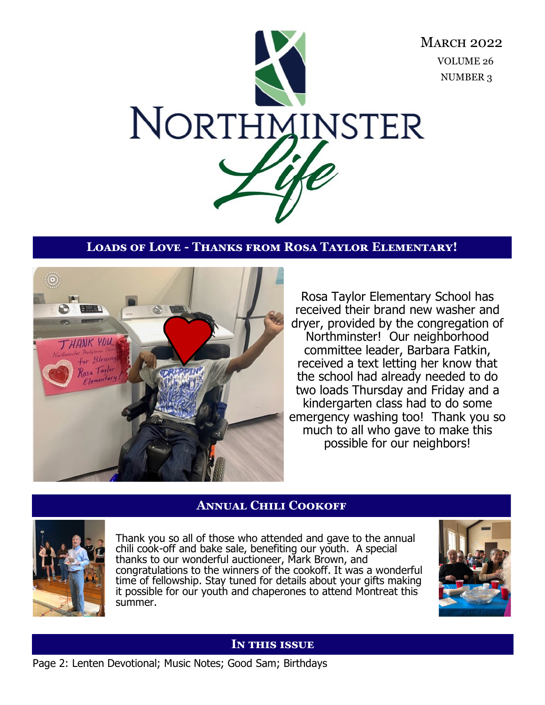

# **Loads of Love - Thanks from Rosa Taylor Elementary!**



Rosa Taylor Elementary School has received their brand new washer and dryer, provided by the congregation of Northminster! Our neighborhood committee leader, Barbara Fatkin, received a text letting her know that the school had already needed to do two loads Thursday and Friday and a kindergarten class had to do some emergency washing too! Thank you so much to all who gave to make this possible for our neighbors!

### **Annual Chili Cookoff**



Thank you so all of those who attended and gave to the annual chili cook-off and bake sale, benefiting our youth. A special thanks to our wonderful auctioneer, Mark Brown, and congratulations to the winners of the cookoff. It was a wonderful time of fellowship. Stay tuned for details about your gifts making it possible for our youth and chaperones to attend Montreat this summer.



#### **In this issue**

Page 2: Lenten Devotional; Music Notes; Good Sam; Birthdays